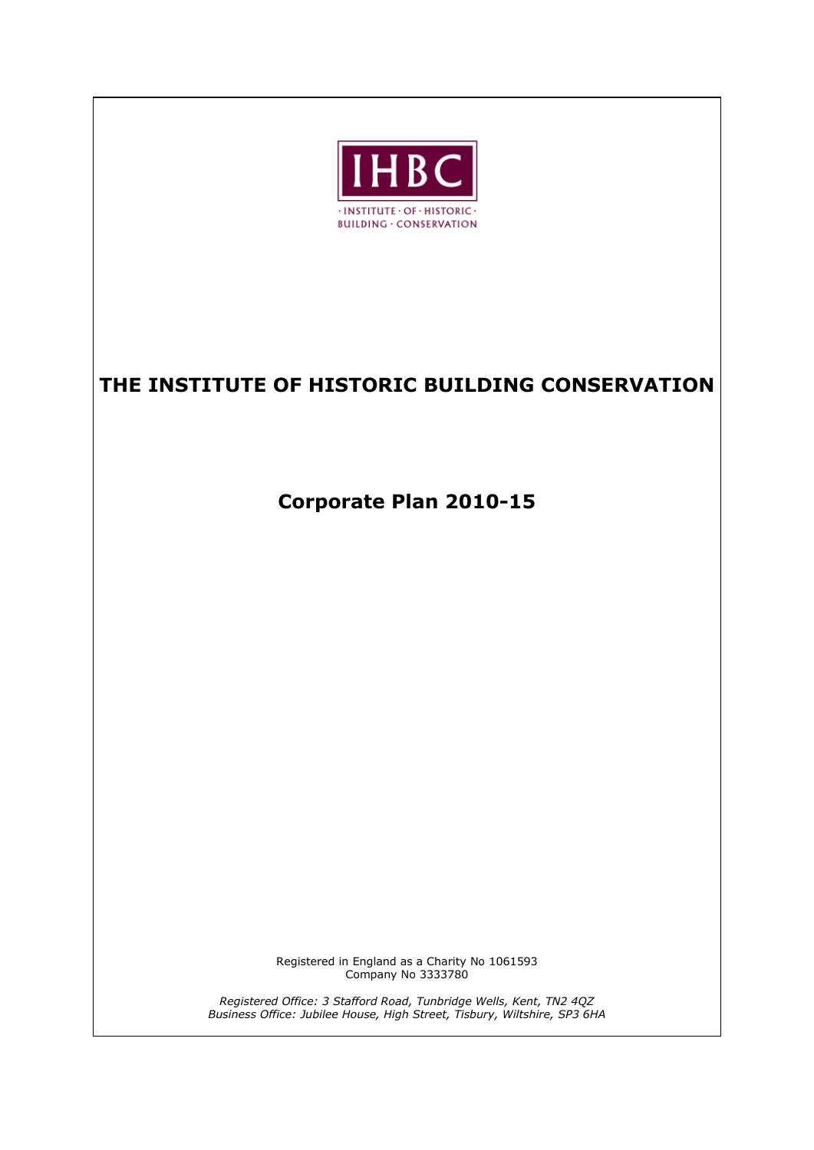

# **THE INSTITUTE OF HISTORIC BUILDING CONSERVATION**

**Corporate Plan 2010-15**

Registered in England as a Charity No 1061593 Company No 3333780

*Registered Office: 3 Stafford Road, Tunbridge Wells, Kent, TN2 4QZ Business Office: Jubilee House, High Street, Tisbury, Wiltshire, SP3 6HA*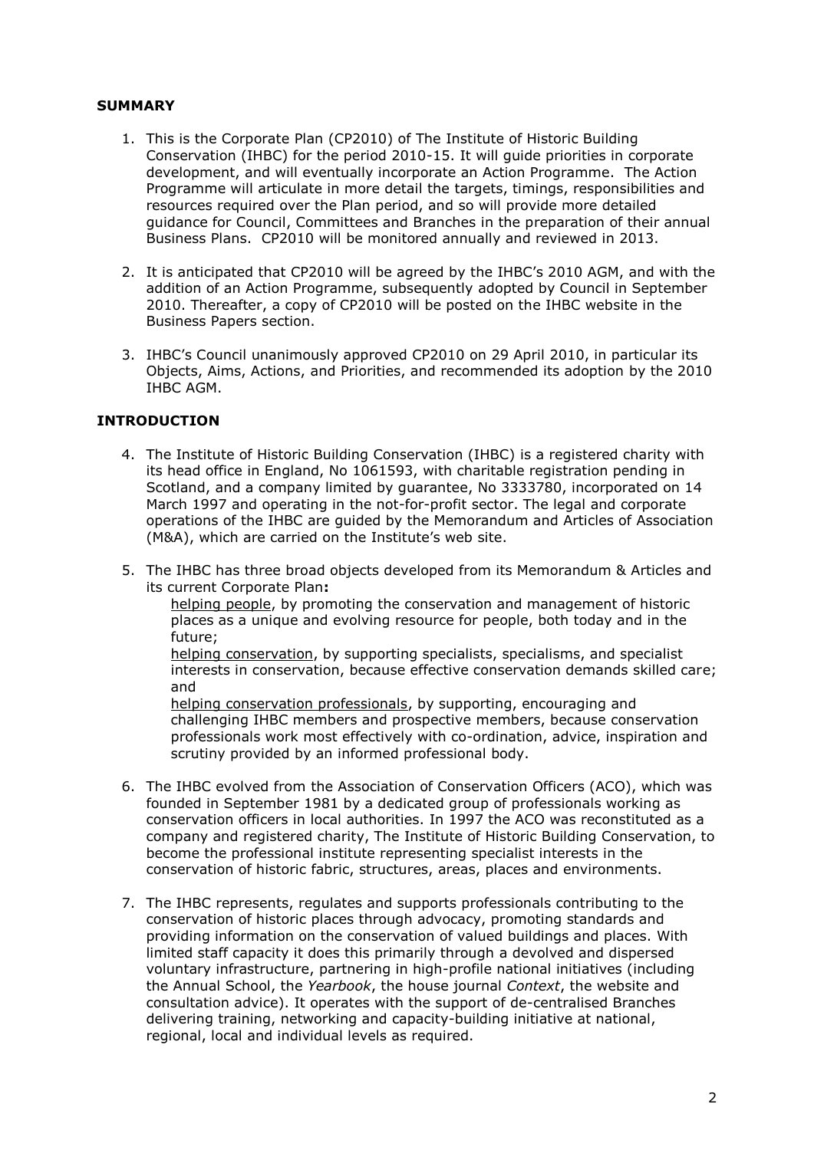#### **SUMMARY**

- 1. This is the Corporate Plan (CP2010) of The Institute of Historic Building Conservation (IHBC) for the period 2010-15. It will guide priorities in corporate development, and will eventually incorporate an Action Programme. The Action Programme will articulate in more detail the targets, timings, responsibilities and resources required over the Plan period, and so will provide more detailed guidance for Council, Committees and Branches in the preparation of their annual Business Plans. CP2010 will be monitored annually and reviewed in 2013.
- 2. It is anticipated that CP2010 will be agreed by the IHBC's 2010 AGM, and with the addition of an Action Programme, subsequently adopted by Council in September 2010. Thereafter, a copy of CP2010 will be posted on the IHBC website in the Business Papers section.
- 3. IHBC's Council unanimously approved CP2010 on 29 April 2010, in particular its Objects, Aims, Actions, and Priorities, and recommended its adoption by the 2010 IHBC AGM.

#### **INTRODUCTION**

- 4. The Institute of Historic Building Conservation (IHBC) is a registered charity with its head office in England, No 1061593, with charitable registration pending in Scotland, and a company limited by guarantee, No 3333780, incorporated on 14 March 1997 and operating in the not-for-profit sector. The legal and corporate operations of the IHBC are guided by the Memorandum and Articles of Association (M&A), which are carried on the Institute's web site.
- 5. The IHBC has three broad objects developed from its Memorandum & Articles and its current Corporate Plan**:**

helping people, by promoting the conservation and management of historic places as a unique and evolving resource for people, both today and in the future;

helping conservation, by supporting specialists, specialisms, and specialist interests in conservation, because effective conservation demands skilled care; and

helping conservation professionals, by supporting, encouraging and challenging IHBC members and prospective members, because conservation professionals work most effectively with co-ordination, advice, inspiration and scrutiny provided by an informed professional body.

- 6. The IHBC evolved from the Association of Conservation Officers (ACO), which was founded in September 1981 by a dedicated group of professionals working as conservation officers in local authorities. In 1997 the ACO was reconstituted as a company and registered charity, The Institute of Historic Building Conservation, to become the professional institute representing specialist interests in the conservation of historic fabric, structures, areas, places and environments.
- 7. The IHBC represents, regulates and supports professionals contributing to the conservation of historic places through advocacy, promoting standards and providing information on the conservation of valued buildings and places. With limited staff capacity it does this primarily through a devolved and dispersed voluntary infrastructure, partnering in high-profile national initiatives (including the Annual School, the *Yearbook*, the house journal *Context*, the website and consultation advice). It operates with the support of de-centralised Branches delivering training, networking and capacity-building initiative at national, regional, local and individual levels as required.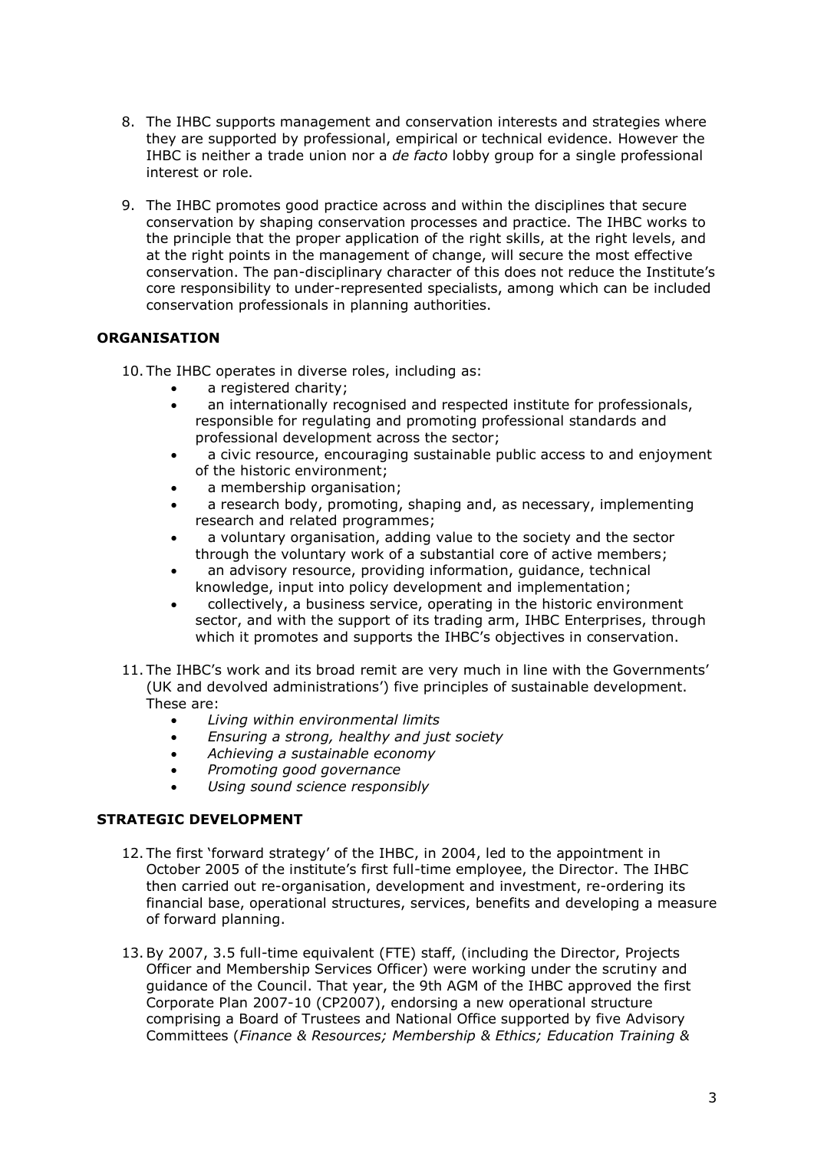- 8. The IHBC supports management and conservation interests and strategies where they are supported by professional, empirical or technical evidence. However the IHBC is neither a trade union nor a *de facto* lobby group for a single professional interest or role.
- 9. The IHBC promotes good practice across and within the disciplines that secure conservation by shaping conservation processes and practice. The IHBC works to the principle that the proper application of the right skills, at the right levels, and at the right points in the management of change, will secure the most effective conservation. The pan-disciplinary character of this does not reduce the Institute's core responsibility to under-represented specialists, among which can be included conservation professionals in planning authorities.

### **ORGANISATION**

10. The IHBC operates in diverse roles, including as:

- a registered charity;
- an internationally recognised and respected institute for professionals, responsible for regulating and promoting professional standards and professional development across the sector;
- a civic resource, encouraging sustainable public access to and enjoyment of the historic environment;
- a membership organisation;
- a research body, promoting, shaping and, as necessary, implementing research and related programmes;
- a voluntary organisation, adding value to the society and the sector through the voluntary work of a substantial core of active members;
- an advisory resource, providing information, guidance, technical knowledge, input into policy development and implementation;
- collectively, a business service, operating in the historic environment sector, and with the support of its trading arm, IHBC Enterprises, through which it promotes and supports the IHBC's objectives in conservation.
- 11. The IHBC's work and its broad remit are very much in line with the Governments' (UK and devolved administrations') five principles of sustainable development. These are:
	- *Living within environmental limits*
	- *Ensuring a strong, healthy and just society*
	- *Achieving a sustainable economy*
	- *Promoting good governance*
	- *Using sound science responsibly*

### **STRATEGIC DEVELOPMENT**

- 12. The first 'forward strategy' of the IHBC, in 2004, led to the appointment in October 2005 of the institute's first full-time employee, the Director. The IHBC then carried out re-organisation, development and investment, re-ordering its financial base, operational structures, services, benefits and developing a measure of forward planning.
- 13.By 2007, 3.5 full-time equivalent (FTE) staff, (including the Director, Projects Officer and Membership Services Officer) were working under the scrutiny and guidance of the Council. That year, the 9th AGM of the IHBC approved the first Corporate Plan 2007-10 (CP2007), endorsing a new operational structure comprising a Board of Trustees and National Office supported by five Advisory Committees (*Finance & Resources; Membership & Ethics; Education Training &*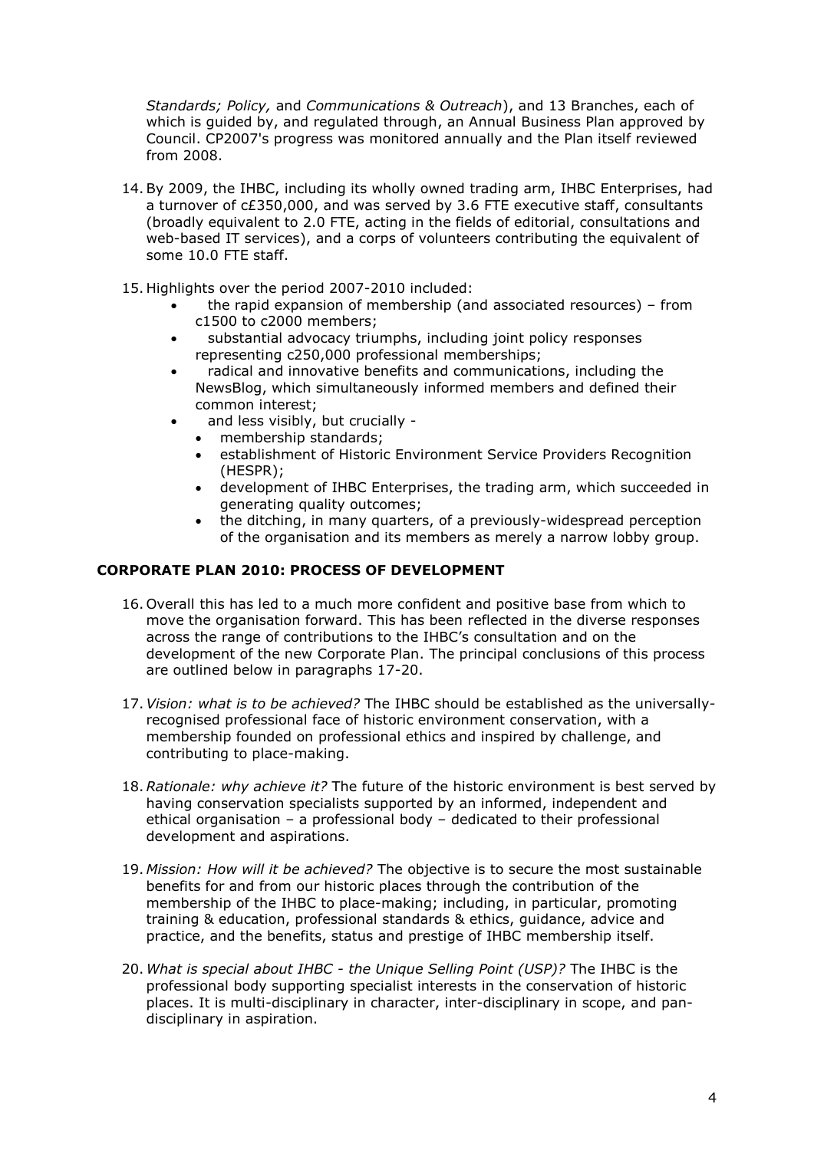*Standards; Policy,* and *Communications & Outreach*), and 13 Branches, each of which is guided by, and regulated through, an Annual Business Plan approved by Council. CP2007's progress was monitored annually and the Plan itself reviewed from 2008.

- 14.By 2009, the IHBC, including its wholly owned trading arm, IHBC Enterprises, had a turnover of c£350,000, and was served by 3.6 FTE executive staff, consultants (broadly equivalent to 2.0 FTE, acting in the fields of editorial, consultations and web-based IT services), and a corps of volunteers contributing the equivalent of some 10.0 FTE staff.
- 15. Highlights over the period 2007-2010 included:
	- the rapid expansion of membership (and associated resources) from c1500 to c2000 members;
	- substantial advocacy triumphs, including joint policy responses representing c250,000 professional memberships;
	- radical and innovative benefits and communications, including the NewsBlog, which simultaneously informed members and defined their common interest;
		- and less visibly, but crucially -
		- membership standards;
		- establishment of Historic Environment Service Providers Recognition (HESPR);
		- development of IHBC Enterprises, the trading arm, which succeeded in generating quality outcomes;
		- the ditching, in many quarters, of a previously-widespread perception of the organisation and its members as merely a narrow lobby group.

## **CORPORATE PLAN 2010: PROCESS OF DEVELOPMENT**

- 16. Overall this has led to a much more confident and positive base from which to move the organisation forward. This has been reflected in the diverse responses across the range of contributions to the IHBC's consultation and on the development of the new Corporate Plan. The principal conclusions of this process are outlined below in paragraphs 17-20.
- 17.*Vision: what is to be achieved?* The IHBC should be established as the universallyrecognised professional face of historic environment conservation, with a membership founded on professional ethics and inspired by challenge, and contributing to place-making.
- 18.*Rationale: why achieve it?* The future of the historic environment is best served by having conservation specialists supported by an informed, independent and ethical organisation – a professional body – dedicated to their professional development and aspirations.
- 19. *Mission: How will it be achieved?* The objective is to secure the most sustainable benefits for and from our historic places through the contribution of the membership of the IHBC to place-making; including, in particular, promoting training & education, professional standards & ethics, guidance, advice and practice, and the benefits, status and prestige of IHBC membership itself.
- 20. *What is special about IHBC - the Unique Selling Point (USP)?* The IHBC is the professional body supporting specialist interests in the conservation of historic places. It is multi-disciplinary in character, inter-disciplinary in scope, and pandisciplinary in aspiration.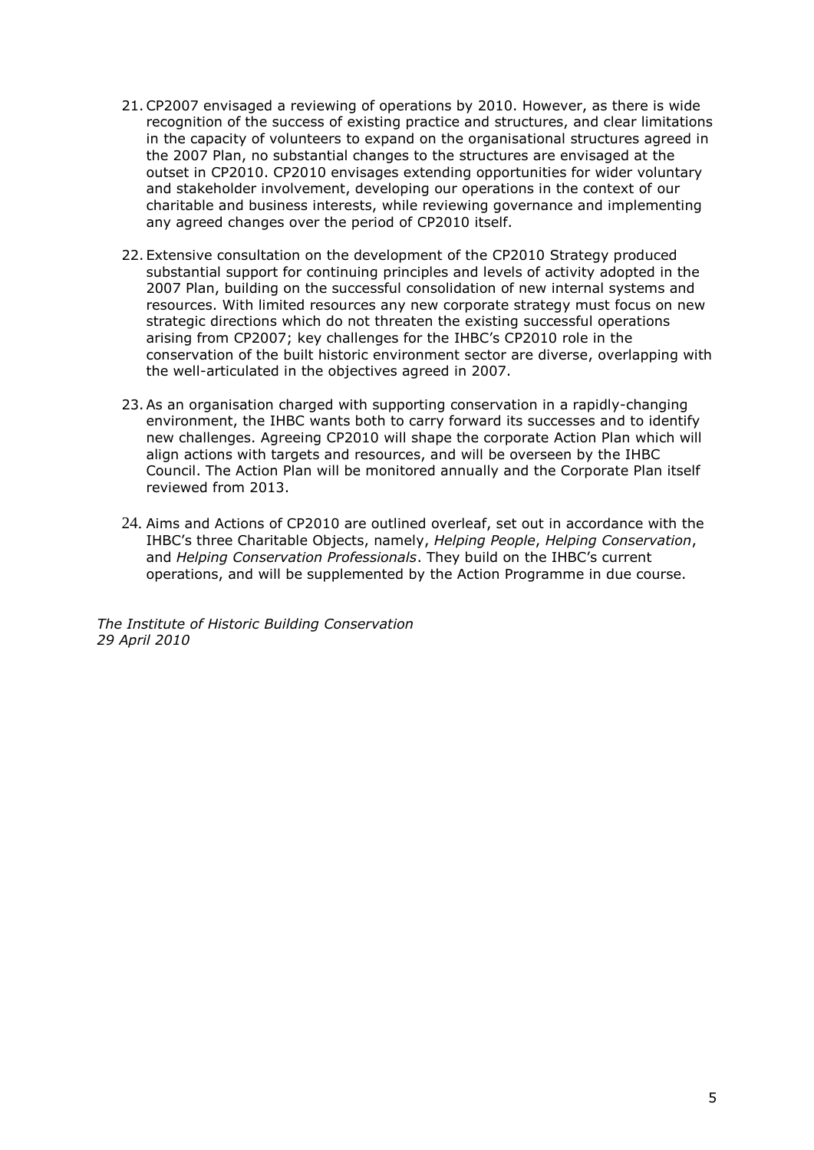- 21.CP2007 envisaged a reviewing of operations by 2010. However, as there is wide recognition of the success of existing practice and structures, and clear limitations in the capacity of volunteers to expand on the organisational structures agreed in the 2007 Plan, no substantial changes to the structures are envisaged at the outset in CP2010. CP2010 envisages extending opportunities for wider voluntary and stakeholder involvement, developing our operations in the context of our charitable and business interests, while reviewing governance and implementing any agreed changes over the period of CP2010 itself.
- 22. Extensive consultation on the development of the CP2010 Strategy produced substantial support for continuing principles and levels of activity adopted in the 2007 Plan, building on the successful consolidation of new internal systems and resources. With limited resources any new corporate strategy must focus on new strategic directions which do not threaten the existing successful operations arising from CP2007; key challenges for the IHBC's CP2010 role in the conservation of the built historic environment sector are diverse, overlapping with the well-articulated in the objectives agreed in 2007.
- 23.As an organisation charged with supporting conservation in a rapidly-changing environment, the IHBC wants both to carry forward its successes and to identify new challenges. Agreeing CP2010 will shape the corporate Action Plan which will align actions with targets and resources, and will be overseen by the IHBC Council. The Action Plan will be monitored annually and the Corporate Plan itself reviewed from 2013.
- 24. Aims and Actions of CP2010 are outlined overleaf, set out in accordance with the IHBC's three Charitable Objects, namely, *Helping People*, *Helping Conservation*, and *Helping Conservation Professionals*. They build on the IHBC's current operations, and will be supplemented by the Action Programme in due course.

*The Institute of Historic Building Conservation 29 April 2010*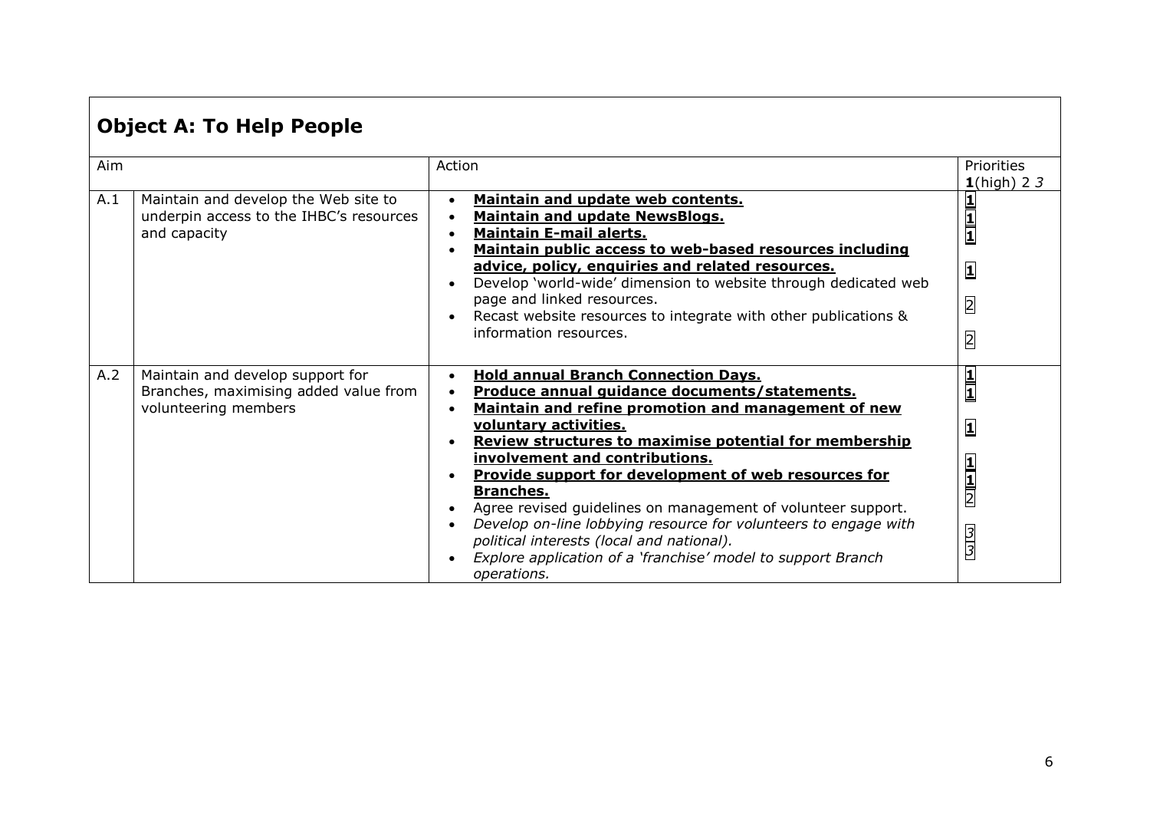# **Object A: To Help People**

| Aim |                                                                                                   | Action                                                                                                                                                                                                                                                                                                                                                                                                                                                       | Priorities<br>$1$ (high) 2 3                                                 |
|-----|---------------------------------------------------------------------------------------------------|--------------------------------------------------------------------------------------------------------------------------------------------------------------------------------------------------------------------------------------------------------------------------------------------------------------------------------------------------------------------------------------------------------------------------------------------------------------|------------------------------------------------------------------------------|
| A.1 | Maintain and develop the Web site to<br>underpin access to the IHBC's resources<br>and capacity   | Maintain and update web contents.<br>$\bullet$<br><b>Maintain and update NewsBlogs.</b><br><b>Maintain E-mail alerts.</b><br>Maintain public access to web-based resources including<br>advice, policy, enquiries and related resources.<br>Develop 'world-wide' dimension to website through dedicated web<br>page and linked resources.<br>Recast website resources to integrate with other publications &<br>information resources.                       | $\frac{1}{1}$<br>$\overline{\mathbf{1}}$<br>$\overline{2}$<br>$\overline{2}$ |
| A.2 | Maintain and develop support for<br>Branches, maximising added value from<br>volunteering members | <b>Hold annual Branch Connection Days.</b><br>Produce annual guidance documents/statements.<br>Maintain and refine promotion and management of new                                                                                                                                                                                                                                                                                                           | $\frac{1}{1}$                                                                |
|     |                                                                                                   | voluntary activities.<br>Review structures to maximise potential for membership<br>involvement and contributions.<br>Provide support for development of web resources for<br><b>Branches.</b><br>Agree revised guidelines on management of volunteer support.<br>Develop on-line lobbying resource for volunteers to engage with<br>political interests (local and national).<br>Explore application of a 'franchise' model to support Branch<br>operations. | 1<br>$\frac{1}{2}$<br><u>mlm</u>                                             |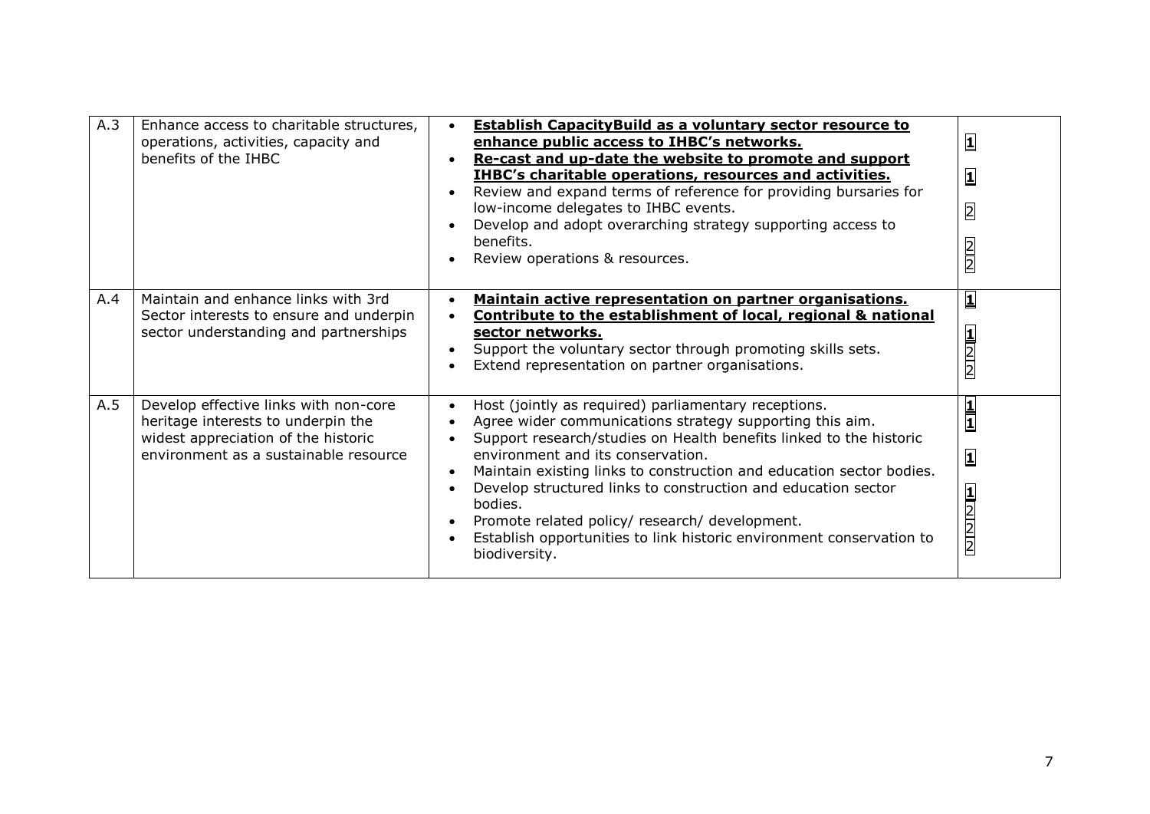| A.3 | Enhance access to charitable structures,<br>operations, activities, capacity and<br>benefits of the IHBC                                                    | <b>Establish CapacityBuild as a voluntary sector resource to</b><br>enhance public access to IHBC's networks.<br>Re-cast and up-date the website to promote and support<br><b>IHBC's charitable operations, resources and activities.</b><br>Review and expand terms of reference for providing bursaries for<br>low-income delegates to IHBC events.<br>Develop and adopt overarching strategy supporting access to<br>benefits.<br>Review operations & resources.                                                        | $\overline{\mathbf{1}}$<br>$\overline{\mathbf{1}}$<br>$\overline{2}$<br>$\frac{2}{2}$ |
|-----|-------------------------------------------------------------------------------------------------------------------------------------------------------------|----------------------------------------------------------------------------------------------------------------------------------------------------------------------------------------------------------------------------------------------------------------------------------------------------------------------------------------------------------------------------------------------------------------------------------------------------------------------------------------------------------------------------|---------------------------------------------------------------------------------------|
| A.4 | Maintain and enhance links with 3rd<br>Sector interests to ensure and underpin<br>sector understanding and partnerships                                     | Maintain active representation on partner organisations.<br>Contribute to the establishment of local, regional & national<br>sector networks.<br>Support the voluntary sector through promoting skills sets.<br>Extend representation on partner organisations.                                                                                                                                                                                                                                                            | $\overline{\mathbf{1}}$<br>$\frac{1}{2}$                                              |
| A.5 | Develop effective links with non-core<br>heritage interests to underpin the<br>widest appreciation of the historic<br>environment as a sustainable resource | Host (jointly as required) parliamentary receptions.<br>Agree wider communications strategy supporting this aim.<br>Support research/studies on Health benefits linked to the historic<br>environment and its conservation.<br>Maintain existing links to construction and education sector bodies.<br>Develop structured links to construction and education sector<br>bodies.<br>Promote related policy/ research/ development.<br>Establish opportunities to link historic environment conservation to<br>biodiversity. | $\frac{1}{1}$<br>$\overline{\mathbf{1}}$<br>$\frac{2}{2}$                             |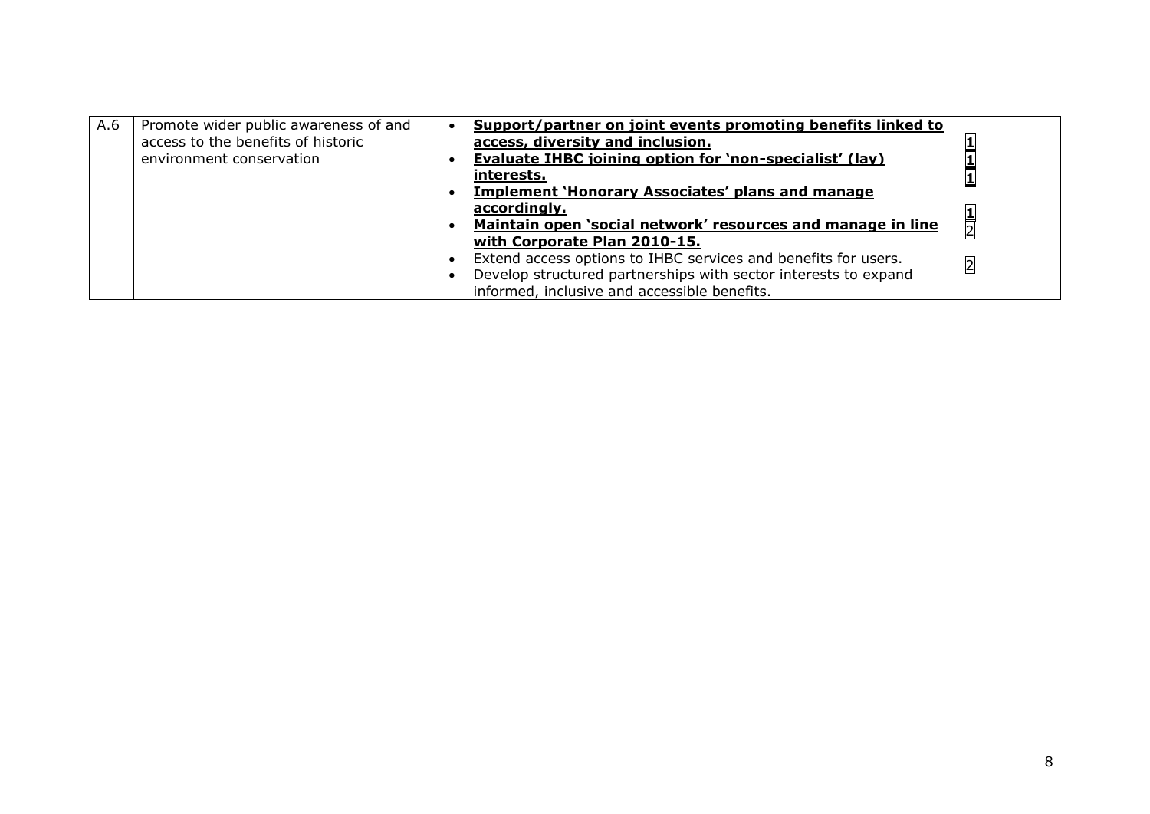| A.6 | Promote wider public awareness of and<br>access to the benefits of historic<br>environment conservation | Support/partner on joint events promoting benefits linked to<br>access, diversity and inclusion.<br>Evaluate IHBC joining option for 'non-specialist' (lay)<br><u>interests.</u><br><b>Implement 'Honorary Associates' plans and manage</b> |                |
|-----|---------------------------------------------------------------------------------------------------------|---------------------------------------------------------------------------------------------------------------------------------------------------------------------------------------------------------------------------------------------|----------------|
|     |                                                                                                         | accordingly.                                                                                                                                                                                                                                |                |
|     |                                                                                                         | Maintain open 'social network' resources and manage in line                                                                                                                                                                                 | $\frac{1}{2}$  |
|     |                                                                                                         | with Corporate Plan 2010-15.                                                                                                                                                                                                                |                |
|     |                                                                                                         | Extend access options to IHBC services and benefits for users.                                                                                                                                                                              | $\overline{2}$ |
|     |                                                                                                         | Develop structured partnerships with sector interests to expand                                                                                                                                                                             |                |
|     |                                                                                                         | informed, inclusive and accessible benefits.                                                                                                                                                                                                |                |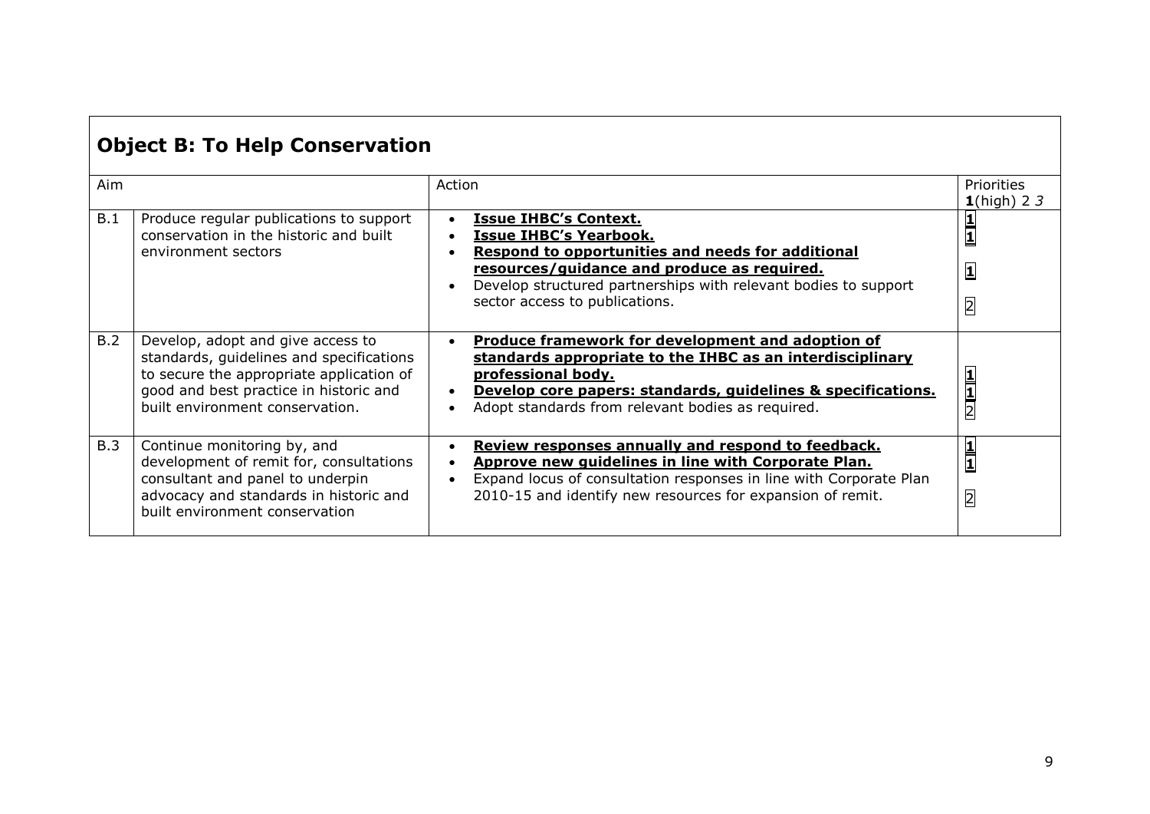| <b>Object B: To Help Conservation</b> |                                                                                                                                                                                                        |                                                                                                                                                                                                                                                                        |                                                            |  |
|---------------------------------------|--------------------------------------------------------------------------------------------------------------------------------------------------------------------------------------------------------|------------------------------------------------------------------------------------------------------------------------------------------------------------------------------------------------------------------------------------------------------------------------|------------------------------------------------------------|--|
| Aim                                   |                                                                                                                                                                                                        | Action                                                                                                                                                                                                                                                                 | Priorities<br>$1$ (high) 23                                |  |
| B.1                                   | Produce regular publications to support<br>conservation in the historic and built<br>environment sectors                                                                                               | <b>Issue IHBC's Context.</b><br><b>Issue IHBC's Yearbook.</b><br>Respond to opportunities and needs for additional<br>resources/guidance and produce as required.<br>Develop structured partnerships with relevant bodies to support<br>sector access to publications. | $\frac{1}{1}$<br>$\overline{\mathbf{1}}$<br>$\overline{2}$ |  |
| B.2                                   | Develop, adopt and give access to<br>standards, guidelines and specifications<br>to secure the appropriate application of<br>good and best practice in historic and<br>built environment conservation. | <b>Produce framework for development and adoption of</b><br>standards appropriate to the IHBC as an interdisciplinary<br>professional body.<br>Develop core papers: standards, quidelines & specifications.<br>Adopt standards from relevant bodies as required.       | $\frac{1}{2}$                                              |  |
| B.3                                   | Continue monitoring by, and<br>development of remit for, consultations<br>consultant and panel to underpin<br>advocacy and standards in historic and<br>built environment conservation                 | Review responses annually and respond to feedback.<br>Approve new quidelines in line with Corporate Plan.<br>Expand locus of consultation responses in line with Corporate Plan<br>2010-15 and identify new resources for expansion of remit.                          | $\frac{1}{1}$<br>$\overline{2}$                            |  |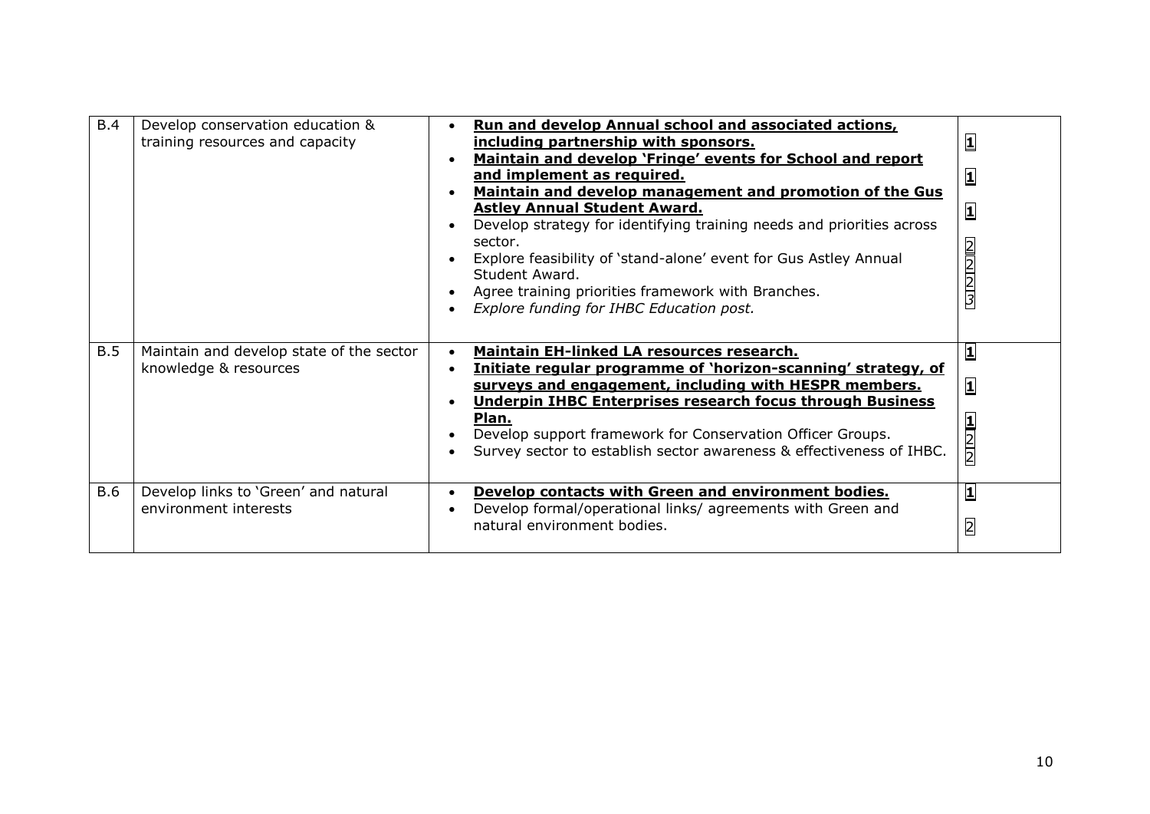| B.4        | Develop conservation education &<br>training resources and capacity | Run and develop Annual school and associated actions,<br>including partnership with sponsors.<br>Maintain and develop 'Fringe' events for School and report<br>and implement as required.<br>Maintain and develop management and promotion of the Gus<br><b>Astley Annual Student Award.</b><br>Develop strategy for identifying training needs and priorities across<br>sector.<br>Explore feasibility of 'stand-alone' event for Gus Astley Annual<br>Student Award.<br>Agree training priorities framework with Branches.<br>Explore funding for IHBC Education post. | $\overline{\mathbf{1}}$<br>1<br>$\overline{\mathbf{1}}$<br><u>מון אן טן ט</u> |
|------------|---------------------------------------------------------------------|--------------------------------------------------------------------------------------------------------------------------------------------------------------------------------------------------------------------------------------------------------------------------------------------------------------------------------------------------------------------------------------------------------------------------------------------------------------------------------------------------------------------------------------------------------------------------|-------------------------------------------------------------------------------|
| B.5        | Maintain and develop state of the sector<br>knowledge & resources   | <b>Maintain EH-linked LA resources research.</b><br>Initiate regular programme of 'horizon-scanning' strategy, of<br>surveys and engagement, including with HESPR members.<br><b>Underpin IHBC Enterprises research focus through Business</b><br>Plan.<br>Develop support framework for Conservation Officer Groups.<br>Survey sector to establish sector awareness & effectiveness of IHBC.                                                                                                                                                                            | $\mathbf{1}$<br>[1<br>$\begin{array}{c} \n 1 \\ \n 2 \\ \n 2 \n \end{array}$  |
| <b>B.6</b> | Develop links to 'Green' and natural<br>environment interests       | Develop contacts with Green and environment bodies.<br>Develop formal/operational links/ agreements with Green and<br>natural environment bodies.                                                                                                                                                                                                                                                                                                                                                                                                                        | 1<br>$\overline{2}$                                                           |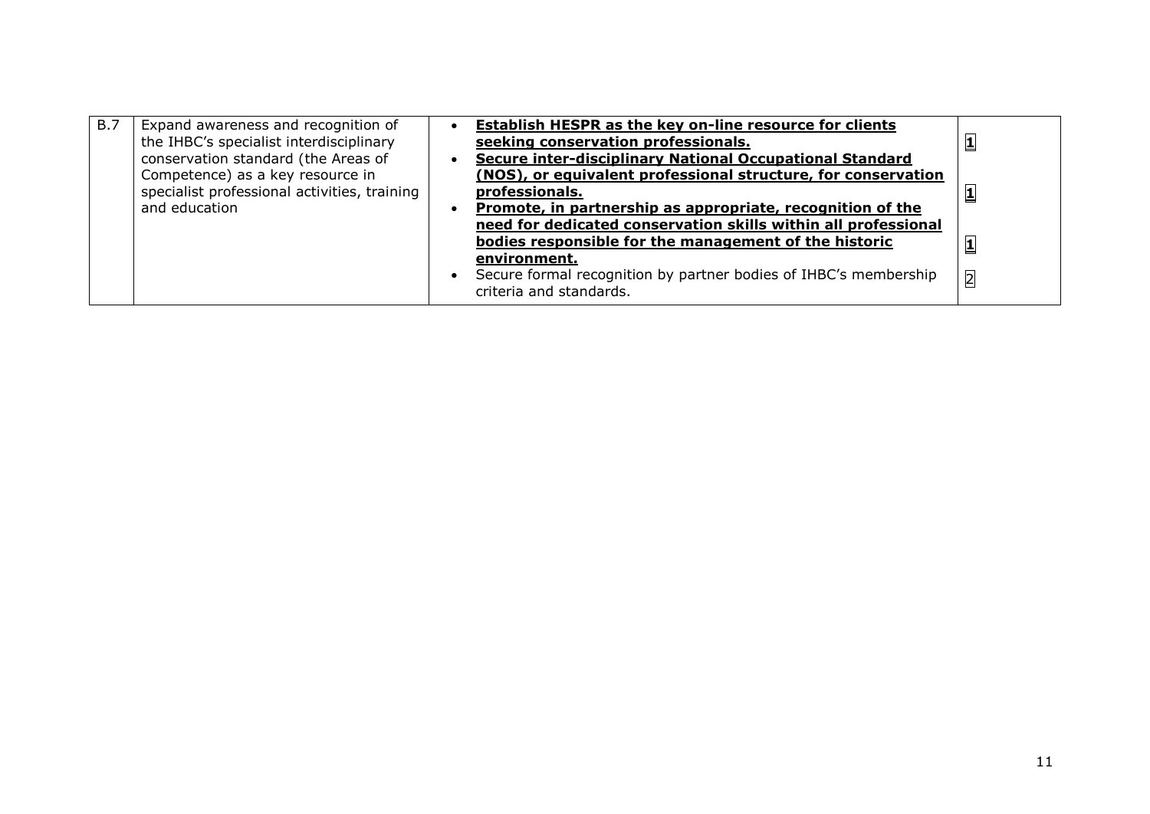| B.7 | Expand awareness and recognition of<br>the IHBC's specialist interdisciplinary<br>conservation standard (the Areas of | Establish HESPR as the key on-line resource for clients<br>seeking conservation professionals.<br>Secure inter-disciplinary National Occupational Standard                                                      |                |
|-----|-----------------------------------------------------------------------------------------------------------------------|-----------------------------------------------------------------------------------------------------------------------------------------------------------------------------------------------------------------|----------------|
|     | Competence) as a key resource in<br>specialist professional activities, training<br>and education                     | (NOS), or equivalent professional structure, for conservation<br>professionals.<br>Promote, in partnership as appropriate, recognition of the<br>need for dedicated conservation skills within all professional |                |
|     |                                                                                                                       | bodies responsible for the management of the historic<br>environment.                                                                                                                                           |                |
|     |                                                                                                                       | Secure formal recognition by partner bodies of IHBC's membership<br>criteria and standards.                                                                                                                     | $\overline{2}$ |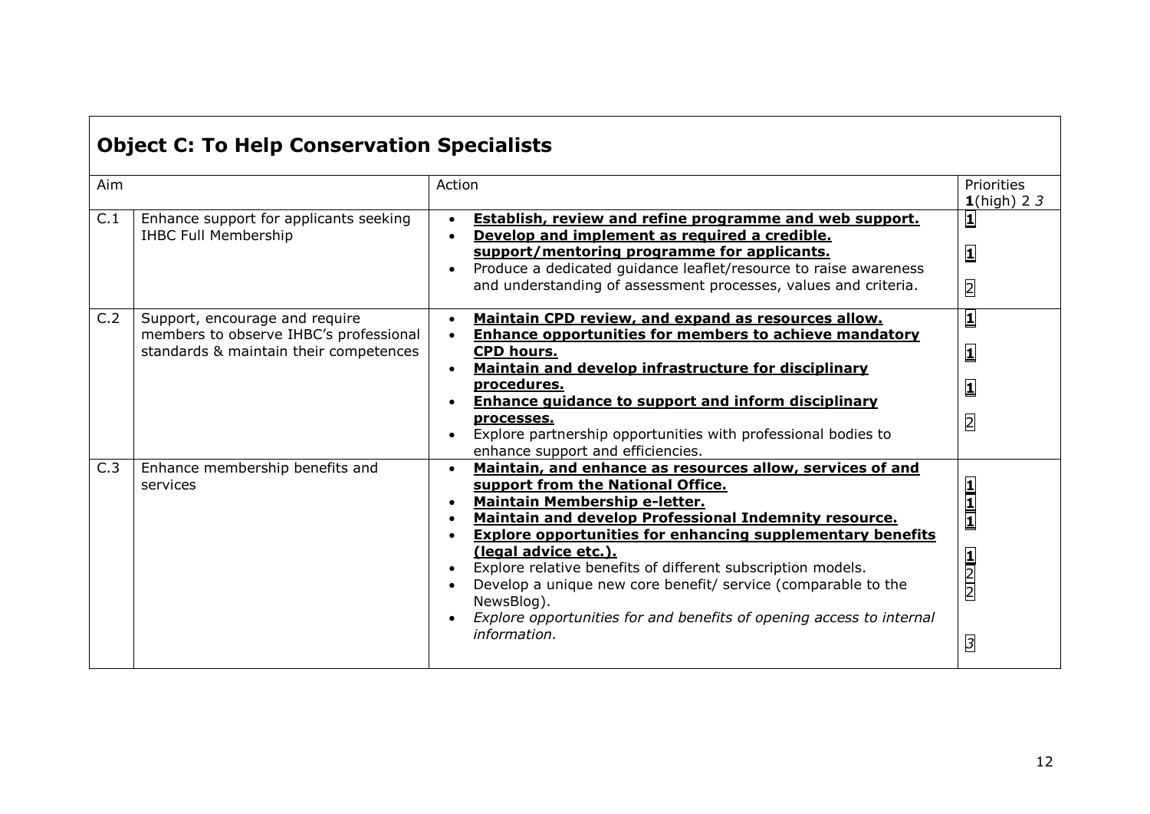|  | <b>Object C: To Help Conservation Specialists</b> |  |
|--|---------------------------------------------------|--|
|  |                                                   |  |

| Aim |                                                                                                                    | Action                                                                                                                                                                                                                                                                                                                                                                                                                                                                                                                      | Priorities<br>$1$ (high) 2 3                                                                    |
|-----|--------------------------------------------------------------------------------------------------------------------|-----------------------------------------------------------------------------------------------------------------------------------------------------------------------------------------------------------------------------------------------------------------------------------------------------------------------------------------------------------------------------------------------------------------------------------------------------------------------------------------------------------------------------|-------------------------------------------------------------------------------------------------|
| C.1 | Enhance support for applicants seeking<br><b>IHBC Full Membership</b>                                              | <b>Establish, review and refine programme and web support.</b><br>Develop and implement as required a credible.<br>support/mentoring programme for applicants.<br>Produce a dedicated guidance leaflet/resource to raise awareness<br>and understanding of assessment processes, values and criteria.                                                                                                                                                                                                                       | $\overline{\mathbf{1}}$<br>$\overline{2}$                                                       |
| C.2 | Support, encourage and require<br>members to observe IHBC's professional<br>standards & maintain their competences | Maintain CPD review, and expand as resources allow.<br><b>Enhance opportunities for members to achieve mandatory</b><br><b>CPD hours.</b><br>Maintain and develop infrastructure for disciplinary<br>procedures.<br><b>Enhance guidance to support and inform disciplinary</b><br>processes.<br>Explore partnership opportunities with professional bodies to<br>enhance support and efficiencies.                                                                                                                          | $\overline{\mathbf{1}}$<br>$\overline{\mathbf{1}}$<br>$\overline{\mathbf{1}}$<br>$\overline{2}$ |
| C.3 | Enhance membership benefits and<br>services                                                                        | Maintain, and enhance as resources allow, services of and<br>support from the National Office.<br>Maintain Membership e-letter.<br>Maintain and develop Professional Indemnity resource.<br><b>Explore opportunities for enhancing supplementary benefits</b><br>(legal advice etc.).<br>Explore relative benefits of different subscription models.<br>Develop a unique new core benefit/ service (comparable to the<br>NewsBlog).<br>Explore opportunities for and benefits of opening access to internal<br>information. | $\frac{1}{1}$<br>$\frac{1}{2}$<br>$\overline{3}$                                                |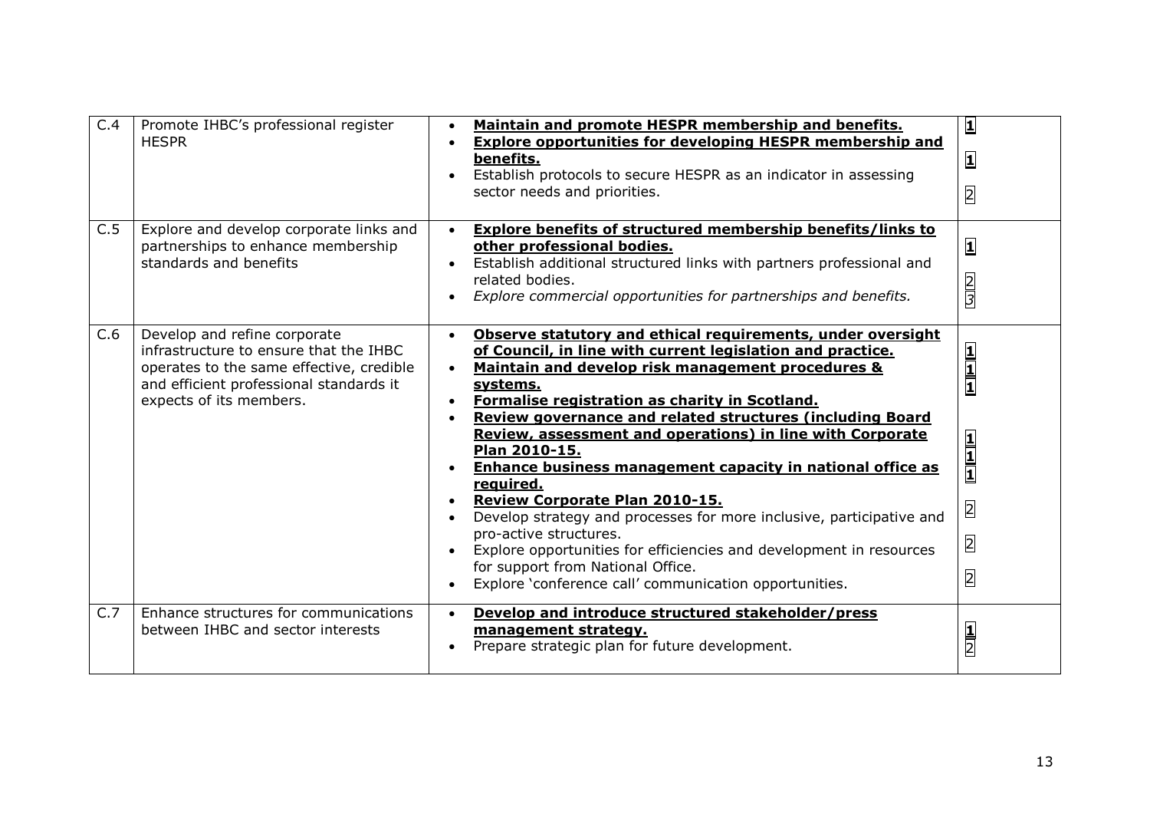| C.4 | Promote IHBC's professional register<br><b>HESPR</b>                                                                                                                                     | Maintain and promote HESPR membership and benefits.<br><b>Explore opportunities for developing HESPR membership and</b><br>benefits.<br>Establish protocols to secure HESPR as an indicator in assessing<br>sector needs and priorities.                                                                                                                                                                                                                                                                                                                                                                                                                                                                                                                                                                | $\overline{\mathbf{1}}$<br>囗<br>$\overline{2}$                                       |
|-----|------------------------------------------------------------------------------------------------------------------------------------------------------------------------------------------|---------------------------------------------------------------------------------------------------------------------------------------------------------------------------------------------------------------------------------------------------------------------------------------------------------------------------------------------------------------------------------------------------------------------------------------------------------------------------------------------------------------------------------------------------------------------------------------------------------------------------------------------------------------------------------------------------------------------------------------------------------------------------------------------------------|--------------------------------------------------------------------------------------|
| C.5 | Explore and develop corporate links and<br>partnerships to enhance membership<br>standards and benefits                                                                                  | <b>Explore benefits of structured membership benefits/links to</b><br>other professional bodies.<br>Establish additional structured links with partners professional and<br>related bodies.<br>Explore commercial opportunities for partnerships and benefits.                                                                                                                                                                                                                                                                                                                                                                                                                                                                                                                                          | $\overline{\mathbf{1}}$<br>$\frac{2}{3}$                                             |
| C.6 | Develop and refine corporate<br>infrastructure to ensure that the IHBC<br>operates to the same effective, credible<br>and efficient professional standards it<br>expects of its members. | Observe statutory and ethical requirements, under oversight<br>of Council, in line with current legislation and practice.<br>Maintain and develop risk management procedures &<br>systems.<br>Formalise registration as charity in Scotland.<br><b>Review governance and related structures (including Board</b><br>Review, assessment and operations) in line with Corporate<br>Plan 2010-15.<br><b>Enhance business management capacity in national office as</b><br>required.<br>Review Corporate Plan 2010-15.<br>Develop strategy and processes for more inclusive, participative and<br>pro-active structures.<br>Explore opportunities for efficiencies and development in resources<br>$\bullet$<br>for support from National Office.<br>Explore 'conference call' communication opportunities. | $\frac{1}{1}$<br>$\frac{1}{1}$<br>$\overline{2}$<br>$\overline{2}$<br>$\overline{2}$ |
| C.7 | Enhance structures for communications<br>between IHBC and sector interests                                                                                                               | Develop and introduce structured stakeholder/press<br>$\bullet$<br>management strategy.<br>Prepare strategic plan for future development.                                                                                                                                                                                                                                                                                                                                                                                                                                                                                                                                                                                                                                                               | $\frac{1}{2}$                                                                        |